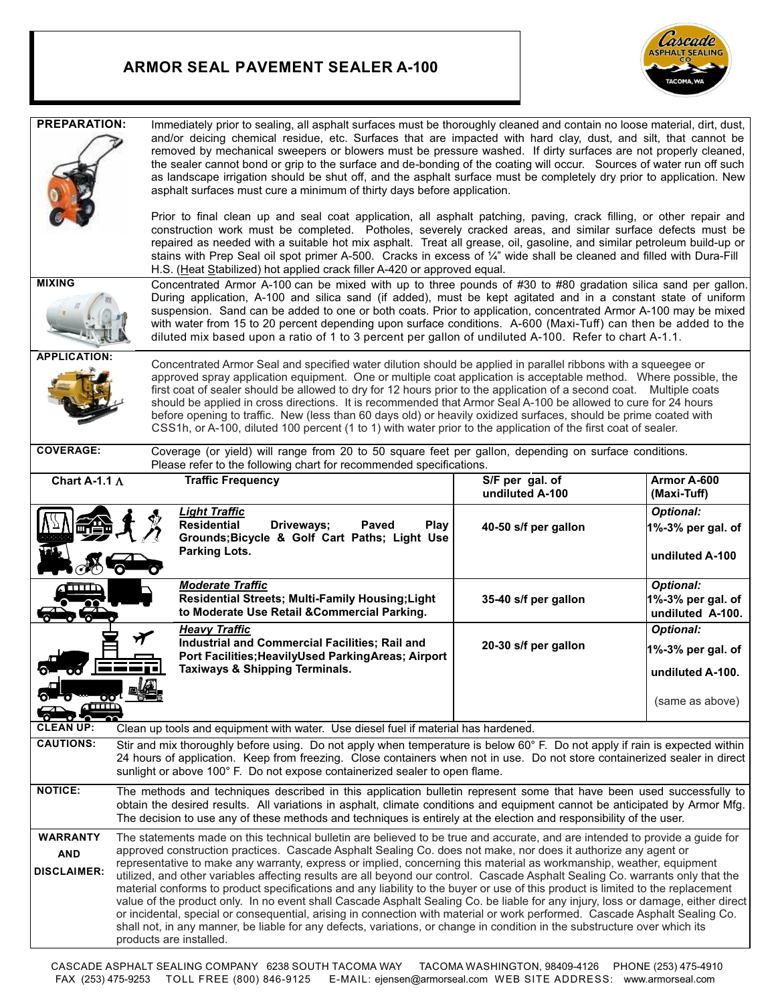## **ARMOR SEAL PAVEMENT SEALER A-100**



| <b>PREPARATION:</b>                                                                                                                                                                                                                                                                                                                                                                                                                                                                                                                                                                                                                                                                                                                      | Immediately prior to sealing, all asphalt surfaces must be thoroughly cleaned and contain no loose material, dirt, dust,<br>and/or deicing chemical residue, etc. Surfaces that are impacted with hard clay, dust, and silt, that cannot be<br>removed by mechanical sweepers or blowers must be pressure washed. If dirty surfaces are not properly cleaned,<br>the sealer cannot bond or grip to the surface and de-bonding of the coating will occur. Sources of water run off such<br>as landscape irrigation should be shut off, and the asphalt surface must be completely dry prior to application. New<br>asphalt surfaces must cure a minimum of thirty days before application.<br>Prior to final clean up and seal coat application, all asphalt patching, paving, crack filling, or other repair and<br>construction work must be completed. Potholes, severely cracked areas, and similar surface defects must be<br>repaired as needed with a suitable hot mix asphalt. Treat all grease, oil, gasoline, and similar petroleum build-up or<br>stains with Prep Seal oil spot primer A-500. Cracks in excess of 1/4" wide shall be cleaned and filled with Dura-Fill<br>H.S. (Heat Stabilized) hot applied crack filler A-420 or approved equal. |                                      |                                                           |
|------------------------------------------------------------------------------------------------------------------------------------------------------------------------------------------------------------------------------------------------------------------------------------------------------------------------------------------------------------------------------------------------------------------------------------------------------------------------------------------------------------------------------------------------------------------------------------------------------------------------------------------------------------------------------------------------------------------------------------------|---------------------------------------------------------------------------------------------------------------------------------------------------------------------------------------------------------------------------------------------------------------------------------------------------------------------------------------------------------------------------------------------------------------------------------------------------------------------------------------------------------------------------------------------------------------------------------------------------------------------------------------------------------------------------------------------------------------------------------------------------------------------------------------------------------------------------------------------------------------------------------------------------------------------------------------------------------------------------------------------------------------------------------------------------------------------------------------------------------------------------------------------------------------------------------------------------------------------------------------------------------------|--------------------------------------|-----------------------------------------------------------|
| <b>MIXING</b>                                                                                                                                                                                                                                                                                                                                                                                                                                                                                                                                                                                                                                                                                                                            | Concentrated Armor A-100 can be mixed with up to three pounds of #30 to #80 gradation silica sand per gallon.<br>During application, A-100 and silica sand (if added), must be kept agitated and in a constant state of uniform<br>suspension. Sand can be added to one or both coats. Prior to application, concentrated Armor A-100 may be mixed<br>with water from 15 to 20 percent depending upon surface conditions. A-600 (Maxi-Tuff) can then be added to the<br>diluted mix based upon a ratio of 1 to 3 percent per gallon of undiluted A-100. Refer to chart A-1.1.                                                                                                                                                                                                                                                                                                                                                                                                                                                                                                                                                                                                                                                                                 |                                      |                                                           |
| <b>APPLICATION:</b><br>Concentrated Armor Seal and specified water dilution should be applied in parallel ribbons with a squeegee or<br>approved spray application equipment. One or multiple coat application is acceptable method. Where possible, the<br>first coat of sealer should be allowed to dry for 12 hours prior to the application of a second coat. Multiple coats<br>should be applied in cross directions. It is recommended that Armor Seal A-100 be allowed to cure for 24 hours<br>before opening to traffic. New (less than 60 days old) or heavily oxidized surfaces, should be prime coated with<br>CSS1h, or A-100, diluted 100 percent (1 to 1) with water prior to the application of the first coat of sealer. |                                                                                                                                                                                                                                                                                                                                                                                                                                                                                                                                                                                                                                                                                                                                                                                                                                                                                                                                                                                                                                                                                                                                                                                                                                                               |                                      |                                                           |
| <b>COVERAGE:</b>                                                                                                                                                                                                                                                                                                                                                                                                                                                                                                                                                                                                                                                                                                                         | Coverage (or yield) will range from 20 to 50 square feet per gallon, depending on surface conditions.<br>Please refer to the following chart for recommended specifications.                                                                                                                                                                                                                                                                                                                                                                                                                                                                                                                                                                                                                                                                                                                                                                                                                                                                                                                                                                                                                                                                                  |                                      |                                                           |
| Chart A-1.1 $\Lambda$                                                                                                                                                                                                                                                                                                                                                                                                                                                                                                                                                                                                                                                                                                                    | <b>Traffic Frequency</b>                                                                                                                                                                                                                                                                                                                                                                                                                                                                                                                                                                                                                                                                                                                                                                                                                                                                                                                                                                                                                                                                                                                                                                                                                                      | $S/F$ per gal. of<br>undiluted A-100 | Armor A-600<br>(Maxi-Tuff)                                |
|                                                                                                                                                                                                                                                                                                                                                                                                                                                                                                                                                                                                                                                                                                                                          | <b>Light Traffic</b><br><b>Residential</b><br>Driveways;<br>Paved<br><b>Play</b><br>Grounds; Bicycle & Golf Cart Paths; Light Use<br><b>Parking Lots.</b>                                                                                                                                                                                                                                                                                                                                                                                                                                                                                                                                                                                                                                                                                                                                                                                                                                                                                                                                                                                                                                                                                                     | 40-50 s/f per gallon                 | <b>Optional:</b><br>1%-3% per gal. of<br>undiluted A-100  |
|                                                                                                                                                                                                                                                                                                                                                                                                                                                                                                                                                                                                                                                                                                                                          | <b>Moderate Traffic</b><br>Residential Streets; Multi-Family Housing; Light<br>to Moderate Use Retail & Commercial Parking.                                                                                                                                                                                                                                                                                                                                                                                                                                                                                                                                                                                                                                                                                                                                                                                                                                                                                                                                                                                                                                                                                                                                   | 35-40 s/f per gallon                 | <b>Optional:</b><br>1%-3% per gal. of<br>undiluted A-100. |
|                                                                                                                                                                                                                                                                                                                                                                                                                                                                                                                                                                                                                                                                                                                                          | <b>Heavy Traffic</b><br>Industrial and Commercial Facilities; Rail and<br>Port Facilities; Heavily Used Parking Areas; Airport<br><b>Taxiways &amp; Shipping Terminals.</b><br>AТ                                                                                                                                                                                                                                                                                                                                                                                                                                                                                                                                                                                                                                                                                                                                                                                                                                                                                                                                                                                                                                                                             | 20-30 s/f per gallon                 | <b>Optional:</b><br>1%-3% per gal. of<br>undiluted A-100. |
| $\mathbf{a}$                                                                                                                                                                                                                                                                                                                                                                                                                                                                                                                                                                                                                                                                                                                             | <b>WHOOT ENGINE</b>                                                                                                                                                                                                                                                                                                                                                                                                                                                                                                                                                                                                                                                                                                                                                                                                                                                                                                                                                                                                                                                                                                                                                                                                                                           |                                      | (same as above)                                           |
| <b>CLEAN UP:</b>                                                                                                                                                                                                                                                                                                                                                                                                                                                                                                                                                                                                                                                                                                                         | Clean up tools and equipment with water. Use diesel fuel if material has hardened.                                                                                                                                                                                                                                                                                                                                                                                                                                                                                                                                                                                                                                                                                                                                                                                                                                                                                                                                                                                                                                                                                                                                                                            |                                      |                                                           |
| <b>CAUTIONS:</b>                                                                                                                                                                                                                                                                                                                                                                                                                                                                                                                                                                                                                                                                                                                         | Stir and mix thoroughly before using. Do not apply when temperature is below 60° F. Do not apply if rain is expected within<br>24 hours of application. Keep from freezing. Close containers when not in use. Do not store containerized sealer in direct<br>sunlight or above 100° F. Do not expose containerized sealer to open flame.                                                                                                                                                                                                                                                                                                                                                                                                                                                                                                                                                                                                                                                                                                                                                                                                                                                                                                                      |                                      |                                                           |
| <b>NOTICE:</b>                                                                                                                                                                                                                                                                                                                                                                                                                                                                                                                                                                                                                                                                                                                           | The methods and techniques described in this application bulletin represent some that have been used successfully to<br>obtain the desired results. All variations in asphalt, climate conditions and equipment cannot be anticipated by Armor Mfg.<br>The decision to use any of these methods and techniques is entirely at the election and responsibility of the user.                                                                                                                                                                                                                                                                                                                                                                                                                                                                                                                                                                                                                                                                                                                                                                                                                                                                                    |                                      |                                                           |
| <b>WARRANTY</b><br><b>AND</b><br><b>DISCLAIMER:</b>                                                                                                                                                                                                                                                                                                                                                                                                                                                                                                                                                                                                                                                                                      | The statements made on this technical bulletin are believed to be true and accurate, and are intended to provide a guide for<br>approved construction practices. Cascade Asphalt Sealing Co. does not make, nor does it authorize any agent or<br>representative to make any warranty, express or implied, concerning this material as workmanship, weather, equipment<br>utilized, and other variables affecting results are all beyond our control. Cascade Asphalt Sealing Co. warrants only that the<br>material conforms to product specifications and any liability to the buyer or use of this product is limited to the replacement<br>value of the product only. In no event shall Cascade Asphalt Sealing Co. be liable for any injury, loss or damage, either direct<br>or incidental, special or consequential, arising in connection with material or work performed. Cascade Asphalt Sealing Co.<br>shall not, in any manner, be liable for any defects, variations, or change in condition in the substructure over which its<br>products are installed.                                                                                                                                                                                       |                                      |                                                           |

CASCADE ASPHALT SEALING COMPANY 6238 SOUTH TACOMA WAY TACOMA WASHINGTON, 98409-4126 PHONE (253) 475-4910 FAX (253) 475-9253 TOLL FREE (800) 846-9125 E-MAIL: ejensen@armorseal.com WEB SITE ADDRESS: www.armorseal.com